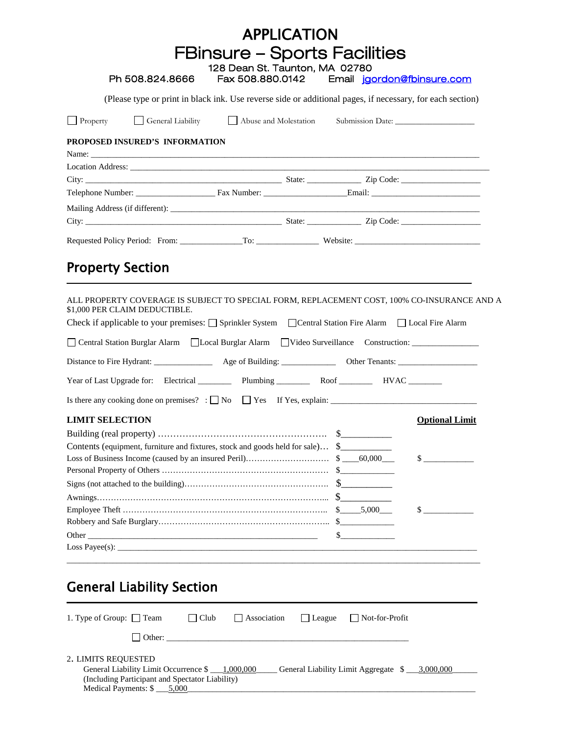| (Please type or print in black ink. Use reverse side or additional pages, if necessary, for each section)<br>General Liability Abuse and Molestation Submission Date: |                                                                                                                                                                                                                                                                                                                                  |
|-----------------------------------------------------------------------------------------------------------------------------------------------------------------------|----------------------------------------------------------------------------------------------------------------------------------------------------------------------------------------------------------------------------------------------------------------------------------------------------------------------------------|
|                                                                                                                                                                       |                                                                                                                                                                                                                                                                                                                                  |
|                                                                                                                                                                       |                                                                                                                                                                                                                                                                                                                                  |
|                                                                                                                                                                       |                                                                                                                                                                                                                                                                                                                                  |
|                                                                                                                                                                       |                                                                                                                                                                                                                                                                                                                                  |
|                                                                                                                                                                       |                                                                                                                                                                                                                                                                                                                                  |
|                                                                                                                                                                       |                                                                                                                                                                                                                                                                                                                                  |
|                                                                                                                                                                       |                                                                                                                                                                                                                                                                                                                                  |
|                                                                                                                                                                       |                                                                                                                                                                                                                                                                                                                                  |
|                                                                                                                                                                       |                                                                                                                                                                                                                                                                                                                                  |
|                                                                                                                                                                       |                                                                                                                                                                                                                                                                                                                                  |
|                                                                                                                                                                       |                                                                                                                                                                                                                                                                                                                                  |
|                                                                                                                                                                       |                                                                                                                                                                                                                                                                                                                                  |
|                                                                                                                                                                       | ALL PROPERTY COVERAGE IS SUBJECT TO SPECIAL FORM, REPLACEMENT COST, 100% CO-INSURANCE AND A                                                                                                                                                                                                                                      |
|                                                                                                                                                                       |                                                                                                                                                                                                                                                                                                                                  |
|                                                                                                                                                                       |                                                                                                                                                                                                                                                                                                                                  |
|                                                                                                                                                                       |                                                                                                                                                                                                                                                                                                                                  |
|                                                                                                                                                                       |                                                                                                                                                                                                                                                                                                                                  |
|                                                                                                                                                                       |                                                                                                                                                                                                                                                                                                                                  |
|                                                                                                                                                                       | <b>Optional Limit</b>                                                                                                                                                                                                                                                                                                            |
|                                                                                                                                                                       |                                                                                                                                                                                                                                                                                                                                  |
| Contents (equipment, furniture and fixtures, stock and goods held for sale) \$                                                                                        |                                                                                                                                                                                                                                                                                                                                  |
|                                                                                                                                                                       | $\sim$                                                                                                                                                                                                                                                                                                                           |
|                                                                                                                                                                       |                                                                                                                                                                                                                                                                                                                                  |
|                                                                                                                                                                       |                                                                                                                                                                                                                                                                                                                                  |
|                                                                                                                                                                       |                                                                                                                                                                                                                                                                                                                                  |
|                                                                                                                                                                       |                                                                                                                                                                                                                                                                                                                                  |
|                                                                                                                                                                       | $\mathbb{S}$                                                                                                                                                                                                                                                                                                                     |
| $\mathbb{S}$                                                                                                                                                          |                                                                                                                                                                                                                                                                                                                                  |
|                                                                                                                                                                       | Check if applicable to your premises: □ Sprinkler System □ Central Station Fire Alarm □ Local Fire Alarm<br>Central Station Burglar Alarm   Local Burglar Alarm   Video Surveillance Construction: _______________________<br>Year of Last Upgrade for: Electrical __________ Plumbing ___________ Roof _________ HVAC _________ |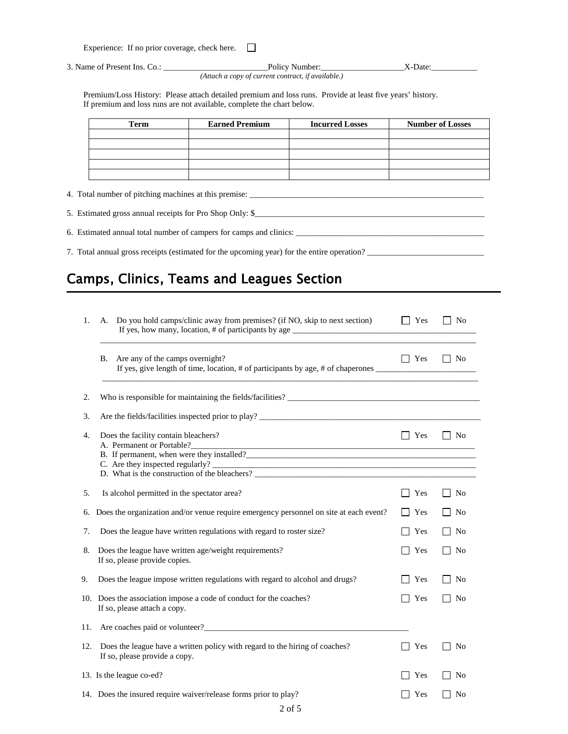| Experience: If no prior coverage, check here. |  |
|-----------------------------------------------|--|
|                                               |  |

3. Name of Present Ins. Co.: \_\_\_\_\_\_\_\_\_\_\_\_\_\_\_\_\_\_\_\_\_\_\_\_\_Policy Number:\_\_\_\_\_\_\_\_\_\_\_\_\_\_\_\_\_\_\_\_X-Date:\_\_\_\_\_\_\_\_\_\_\_

*(Attach a copy of current contract, if available.)*

Premium/Loss History: Please attach detailed premium and loss runs. Provide at least five years' history. If premium and loss runs are not available, complete the chart below.

| Term | <b>Earned Premium</b> | <b>Incurred Losses</b> | <b>Number of Losses</b> |
|------|-----------------------|------------------------|-------------------------|
|      |                       |                        |                         |
|      |                       |                        |                         |
|      |                       |                        |                         |
|      |                       |                        |                         |
|      |                       |                        |                         |

4. Total number of pitching machines at this premise: \_\_\_\_\_\_\_\_\_\_\_\_\_\_\_\_\_\_\_\_\_\_\_\_\_\_\_\_\_\_\_\_\_\_\_\_\_\_\_\_\_\_\_\_\_\_\_\_\_\_\_\_\_\_\_\_

5. Estimated gross annual receipts for Pro Shop Only: \$\_\_\_\_\_\_\_\_\_\_\_\_\_\_\_\_\_\_\_\_\_\_\_\_\_\_\_\_\_\_\_\_\_\_\_\_\_\_\_\_\_\_\_\_\_\_\_\_\_\_\_\_\_\_\_

6. Estimated annual total number of campers for camps and clinics: \_\_\_\_\_\_\_\_\_\_\_\_\_\_

7. Total annual gross receipts (estimated for the upcoming year) for the entire operation? \_\_\_\_\_\_\_\_\_\_\_\_\_\_\_\_\_\_\_\_\_\_\_\_\_\_\_\_

## Camps, Clinics, Teams and Leagues Section

| 1.  | Do you hold camps/clinic away from premises? (if NO, skip to next section)<br>А.                             | Yes        | <b>No</b>      |
|-----|--------------------------------------------------------------------------------------------------------------|------------|----------------|
|     | Are any of the camps overnight?<br>В.                                                                        | $\Box$ Yes | $\Box$ No      |
| 2.  |                                                                                                              |            |                |
| 3.  | Are the fields/facilities inspected prior to play?                                                           |            |                |
| 4.  | Does the facility contain bleachers?<br>A. Permanent or Portable?                                            | Yes        | $\overline{N}$ |
|     | B. If permanent, when were they installed?                                                                   |            |                |
|     |                                                                                                              |            |                |
| 5.  | Is alcohol permitted in the spectator area?                                                                  | Yes        | N <sub>0</sub> |
| 6.  | Does the organization and/or venue require emergency personnel on site at each event?                        | Yes        | N <sub>o</sub> |
| 7.  | Does the league have written regulations with regard to roster size?                                         | Yes        | No             |
| 8.  | Does the league have written age/weight requirements?<br>If so, please provide copies.                       | Yes        | N <sub>0</sub> |
| 9.  | Does the league impose written regulations with regard to alcohol and drugs?                                 | Yes        | N <sub>0</sub> |
|     | 10. Does the association impose a code of conduct for the coaches?<br>If so, please attach a copy.           | Yes        | <b>No</b>      |
| 11. |                                                                                                              |            |                |
| 12. | Does the league have a written policy with regard to the hiring of coaches?<br>If so, please provide a copy. | Yes        | No             |
|     | 13. Is the league co-ed?                                                                                     | Yes        | N <sub>0</sub> |
|     | 14. Does the insured require waiver/release forms prior to play?                                             | Yes        | N <sub>0</sub> |
|     |                                                                                                              |            |                |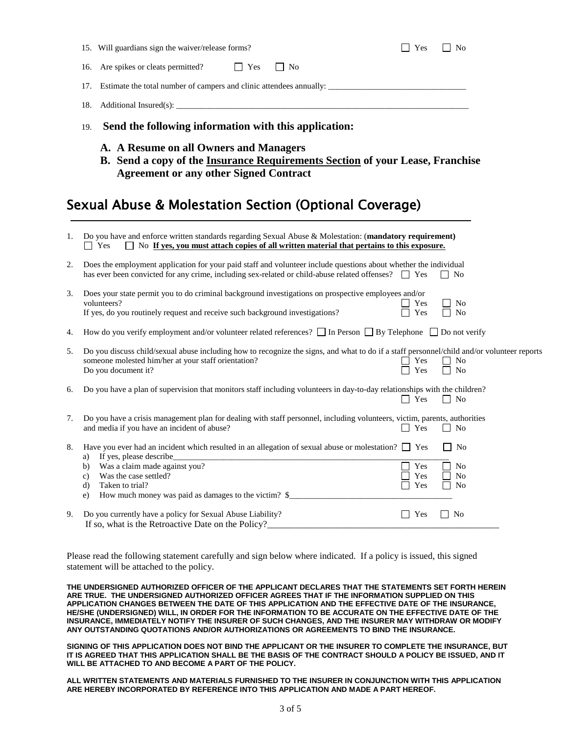|    |     | 15. Will guardians sign the waiver/release forms?                                                                                                                                                                                  |            |    | Yes        | N <sub>0</sub>                   |  |
|----|-----|------------------------------------------------------------------------------------------------------------------------------------------------------------------------------------------------------------------------------------|------------|----|------------|----------------------------------|--|
|    |     | 16. Are spikes or cleats permitted?                                                                                                                                                                                                | $\Box$ Yes | No |            |                                  |  |
|    |     |                                                                                                                                                                                                                                    |            |    |            |                                  |  |
|    | 18. |                                                                                                                                                                                                                                    |            |    |            |                                  |  |
|    | 19. | Send the following information with this application:                                                                                                                                                                              |            |    |            |                                  |  |
|    |     | A. A Resume on all Owners and Managers<br>B. Send a copy of the Insurance Requirements Section of your Lease, Franchise<br><b>Agreement or any other Signed Contract</b><br>Sexual Abuse & Molestation Section (Optional Coverage) |            |    |            |                                  |  |
| 1. |     | Do you have and enforce written standards regarding Sexual Abuse & Molestation: (mandatory requirement)<br>$\Box$ No If yes, you must attach copies of all written material that pertains to this exposure.<br>$\Box$ Yes          |            |    |            |                                  |  |
| 2. |     | Does the employment application for your paid staff and volunteer include questions about whether the individual<br>has ever been convicted for any crime, including sex-related or child-abuse related offenses? $\Box$ Yes       |            |    |            | $\mathsf{L}$<br>No               |  |
| 3. |     | Does your state permit you to do criminal background investigations on prospective employees and/or<br>volunteers?<br>If yes, do you routinely request and receive such background investigations?                                 |            |    | Yes<br>Yes | No<br>N <sub>o</sub>             |  |
| 4. |     | How do you verify employment and/or volunteer related references? $\Box$ In Person $\Box$ By Telephone $\Box$ Do not verify                                                                                                        |            |    |            |                                  |  |
| 5. |     | Do you discuss child/sexual abuse including how to recognize the signs, and what to do if a staff personnel/child and/or volunteer reports<br>someone molested him/her at your staff orientation?<br>Do you document it?           |            |    | Yes<br>Yes | N <sub>0</sub><br>N <sub>o</sub> |  |
| 6. |     | Do you have a plan of supervision that monitors staff including volunteers in day-to-day relationships with the children?                                                                                                          |            |    | $\Box$ Yes | $\Box$ No                        |  |
| 7. |     | Do you have a crisis management plan for dealing with staff personnel, including volunteers, victim, parents, authorities<br>and media if you have an incident of abuse?                                                           |            |    | Yes        | N <sub>0</sub>                   |  |
|    |     |                                                                                                                                                                                                                                    |            |    |            |                                  |  |

|                                                            |                        | $\Box$ No                                                                                                                                          |
|------------------------------------------------------------|------------------------|----------------------------------------------------------------------------------------------------------------------------------------------------|
| If yes, please describe<br>a)                              |                        |                                                                                                                                                    |
| Was a claim made against you?<br>b)                        | Yes                    | N <sub>0</sub>                                                                                                                                     |
| Was the case settled?                                      | Yes                    | ∃ No                                                                                                                                               |
| Taken to trial?<br>CI)                                     | Yes                    | $\overline{N}$                                                                                                                                     |
| How much money was paid as damages to the victim? \$<br>e) |                        |                                                                                                                                                    |
|                                                            |                        |                                                                                                                                                    |
|                                                            | 0 D. 11 PCO 141 T'I'LD | Have you ever had an incident which resulted in an allegation of sexual abuse or molestation? $\Box$ Yes<br>$\mathbf{1}$ $\mathbf{1}$ $\mathbf{v}$ |

9. Do you currently have a policy for Sexual Abuse Liability?  $\Box$  Yes  $\Box$  Yes  $\Box$  No If so, what is the Retroactive Date on the Policy?

Please read the following statement carefully and sign below where indicated. If a policy is issued, this signed statement will be attached to the policy.

**THE UNDERSIGNED AUTHORIZED OFFICER OF THE APPLICANT DECLARES THAT THE STATEMENTS SET FORTH HEREIN ARE TRUE. THE UNDERSIGNED AUTHORIZED OFFICER AGREES THAT IF THE INFORMATION SUPPLIED ON THIS APPLICATION CHANGES BETWEEN THE DATE OF THIS APPLICATION AND THE EFFECTIVE DATE OF THE INSURANCE, HE/SHE (UNDERSIGNED) WILL, IN ORDER FOR THE INFORMATION TO BE ACCURATE ON THE EFFECTIVE DATE OF THE INSURANCE, IMMEDIATELY NOTIFY THE INSURER OF SUCH CHANGES, AND THE INSURER MAY WITHDRAW OR MODIFY ANY OUTSTANDING QUOTATIONS AND/OR AUTHORIZATIONS OR AGREEMENTS TO BIND THE INSURANCE.**

**SIGNING OF THIS APPLICATION DOES NOT BIND THE APPLICANT OR THE INSURER TO COMPLETE THE INSURANCE, BUT IT IS AGREED THAT THIS APPLICATION SHALL BE THE BASIS OF THE CONTRACT SHOULD A POLICY BE ISSUED, AND IT WILL BE ATTACHED TO AND BECOME A PART OF THE POLICY.**

**ALL WRITTEN STATEMENTS AND MATERIALS FURNISHED TO THE INSURER IN CONJUNCTION WITH THIS APPLICATION ARE HEREBY INCORPORATED BY REFERENCE INTO THIS APPLICATION AND MADE A PART HEREOF.**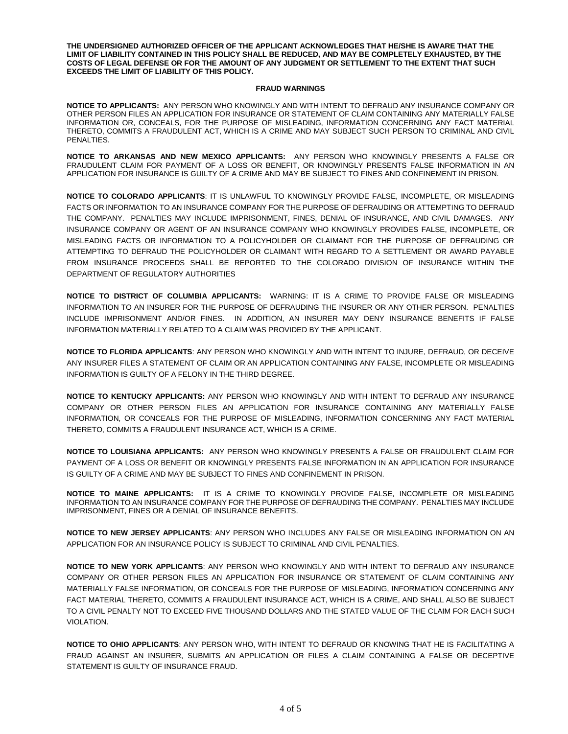**THE UNDERSIGNED AUTHORIZED OFFICER OF THE APPLICANT ACKNOWLEDGES THAT HE/SHE IS AWARE THAT THE LIMIT OF LIABILITY CONTAINED IN THIS POLICY SHALL BE REDUCED, AND MAY BE COMPLETELY EXHAUSTED, BY THE COSTS OF LEGAL DEFENSE OR FOR THE AMOUNT OF ANY JUDGMENT OR SETTLEMENT TO THE EXTENT THAT SUCH EXCEEDS THE LIMIT OF LIABILITY OF THIS POLICY.**

## **FRAUD WARNINGS**

**NOTICE TO APPLICANTS:** ANY PERSON WHO KNOWINGLY AND WITH INTENT TO DEFRAUD ANY INSURANCE COMPANY OR OTHER PERSON FILES AN APPLICATION FOR INSURANCE OR STATEMENT OF CLAIM CONTAINING ANY MATERIALLY FALSE INFORMATION OR, CONCEALS, FOR THE PURPOSE OF MISLEADING, INFORMATION CONCERNING ANY FACT MATERIAL THERETO, COMMITS A FRAUDULENT ACT, WHICH IS A CRIME AND MAY SUBJECT SUCH PERSON TO CRIMINAL AND CIVIL PENALTIES.

**NOTICE TO ARKANSAS AND NEW MEXICO APPLICANTS:** ANY PERSON WHO KNOWINGLY PRESENTS A FALSE OR FRAUDULENT CLAIM FOR PAYMENT OF A LOSS OR BENEFIT, OR KNOWINGLY PRESENTS FALSE INFORMATION IN AN APPLICATION FOR INSURANCE IS GUILTY OF A CRIME AND MAY BE SUBJECT TO FINES AND CONFINEMENT IN PRISON.

**NOTICE TO COLORADO APPLICANTS**: IT IS UNLAWFUL TO KNOWINGLY PROVIDE FALSE, INCOMPLETE, OR MISLEADING FACTS OR INFORMATION TO AN INSURANCE COMPANY FOR THE PURPOSE OF DEFRAUDING OR ATTEMPTING TO DEFRAUD THE COMPANY. PENALTIES MAY INCLUDE IMPRISONMENT, FINES, DENIAL OF INSURANCE, AND CIVIL DAMAGES. ANY INSURANCE COMPANY OR AGENT OF AN INSURANCE COMPANY WHO KNOWINGLY PROVIDES FALSE, INCOMPLETE, OR MISLEADING FACTS OR INFORMATION TO A POLICYHOLDER OR CLAIMANT FOR THE PURPOSE OF DEFRAUDING OR ATTEMPTING TO DEFRAUD THE POLICYHOLDER OR CLAIMANT WITH REGARD TO A SETTLEMENT OR AWARD PAYABLE FROM INSURANCE PROCEEDS SHALL BE REPORTED TO THE COLORADO DIVISION OF INSURANCE WITHIN THE DEPARTMENT OF REGULATORY AUTHORITIES

**NOTICE TO DISTRICT OF COLUMBIA APPLICANTS:** WARNING: IT IS A CRIME TO PROVIDE FALSE OR MISLEADING INFORMATION TO AN INSURER FOR THE PURPOSE OF DEFRAUDING THE INSURER OR ANY OTHER PERSON. PENALTIES INCLUDE IMPRISONMENT AND/OR FINES. IN ADDITION, AN INSURER MAY DENY INSURANCE BENEFITS IF FALSE INFORMATION MATERIALLY RELATED TO A CLAIM WAS PROVIDED BY THE APPLICANT.

**NOTICE TO FLORIDA APPLICANTS**: ANY PERSON WHO KNOWINGLY AND WITH INTENT TO INJURE, DEFRAUD, OR DECEIVE ANY INSURER FILES A STATEMENT OF CLAIM OR AN APPLICATION CONTAINING ANY FALSE, INCOMPLETE OR MISLEADING INFORMATION IS GUILTY OF A FELONY IN THE THIRD DEGREE.

**NOTICE TO KENTUCKY APPLICANTS:** ANY PERSON WHO KNOWINGLY AND WITH INTENT TO DEFRAUD ANY INSURANCE COMPANY OR OTHER PERSON FILES AN APPLICATION FOR INSURANCE CONTAINING ANY MATERIALLY FALSE INFORMATION, OR CONCEALS FOR THE PURPOSE OF MISLEADING, INFORMATION CONCERNING ANY FACT MATERIAL THERETO, COMMITS A FRAUDULENT INSURANCE ACT, WHICH IS A CRIME.

**NOTICE TO LOUISIANA APPLICANTS:** ANY PERSON WHO KNOWINGLY PRESENTS A FALSE OR FRAUDULENT CLAIM FOR PAYMENT OF A LOSS OR BENEFIT OR KNOWINGLY PRESENTS FALSE INFORMATION IN AN APPLICATION FOR INSURANCE IS GUILTY OF A CRIME AND MAY BE SUBJECT TO FINES AND CONFINEMENT IN PRISON.

**NOTICE TO MAINE APPLICANTS:** IT IS A CRIME TO KNOWINGLY PROVIDE FALSE, INCOMPLETE OR MISLEADING INFORMATION TO AN INSURANCE COMPANY FOR THE PURPOSE OF DEFRAUDING THE COMPANY. PENALTIES MAY INCLUDE IMPRISONMENT, FINES OR A DENIAL OF INSURANCE BENEFITS.

**NOTICE TO NEW JERSEY APPLICANTS**: ANY PERSON WHO INCLUDES ANY FALSE OR MISLEADING INFORMATION ON AN APPLICATION FOR AN INSURANCE POLICY IS SUBJECT TO CRIMINAL AND CIVIL PENALTIES.

**NOTICE TO NEW YORK APPLICANTS**: ANY PERSON WHO KNOWINGLY AND WITH INTENT TO DEFRAUD ANY INSURANCE COMPANY OR OTHER PERSON FILES AN APPLICATION FOR INSURANCE OR STATEMENT OF CLAIM CONTAINING ANY MATERIALLY FALSE INFORMATION, OR CONCEALS FOR THE PURPOSE OF MISLEADING, INFORMATION CONCERNING ANY FACT MATERIAL THERETO, COMMITS A FRAUDULENT INSURANCE ACT, WHICH IS A CRIME, AND SHALL ALSO BE SUBJECT TO A CIVIL PENALTY NOT TO EXCEED FIVE THOUSAND DOLLARS AND THE STATED VALUE OF THE CLAIM FOR EACH SUCH VIOLATION.

**NOTICE TO OHIO APPLICANTS**: ANY PERSON WHO, WITH INTENT TO DEFRAUD OR KNOWING THAT HE IS FACILITATING A FRAUD AGAINST AN INSURER, SUBMITS AN APPLICATION OR FILES A CLAIM CONTAINING A FALSE OR DECEPTIVE STATEMENT IS GUILTY OF INSURANCE FRAUD.